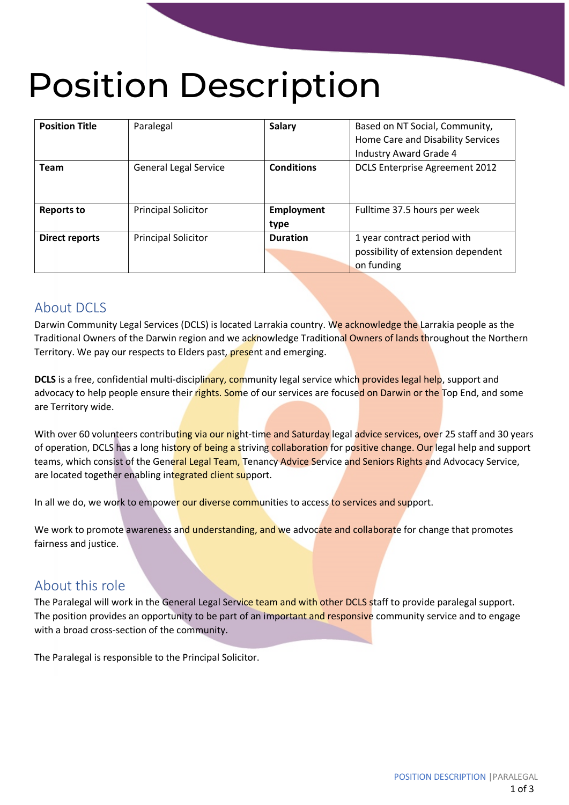# Position Description

| <b>Position Title</b> | Paralegal                    | <b>Salary</b>             | Based on NT Social, Community,<br>Home Care and Disability Services<br>Industry Award Grade 4 |
|-----------------------|------------------------------|---------------------------|-----------------------------------------------------------------------------------------------|
| <b>Team</b>           | <b>General Legal Service</b> | <b>Conditions</b>         | <b>DCLS Enterprise Agreement 2012</b>                                                         |
| <b>Reports to</b>     | <b>Principal Solicitor</b>   | <b>Employment</b><br>type | Fulltime 37.5 hours per week                                                                  |
| <b>Direct reports</b> | <b>Principal Solicitor</b>   | <b>Duration</b>           | 1 year contract period with<br>possibility of extension dependent<br>on funding               |

## About DCLS

Darwin Community Legal Services (DCLS) is located Larrakia country. We acknowledge the Larrakia people as the Traditional Owners of the Darwin region and we acknowledge Traditional Owners of lands throughout the Northern Territory. We pay our respects to Elders past, present and emerging.

**DCLS** is a free, confidential multi-disciplinary, community legal service which provides legal help, support and advocacy to help people ensure their rights. Some of our services are focused on Darwin or the Top End, and some are Territory wide.

With over 60 volunteers contributing via our night-time and Saturday legal advice services, over 25 staff and 30 years of operation, DCLS has a long history of being a striving collaboration for positive change. Our legal help and support teams, which consist of the General Legal Team, Tenancy Advice Service and Seniors Rights and Advocacy Service, are located together enabling integrated client support.

In all we do, we work to empower our diverse communities to access to services and support.

We work to promote awareness and understanding, and we advocate and collaborate for change that promotes fairness and justice.

# About this role

The Paralegal will work in the General Legal Service team and with other DCLS staff to provide paralegal support. The position provides an opportunity to be part of an important and responsive community service and to engage with a broad cross-section of the community.

The Paralegal is responsible to the Principal Solicitor.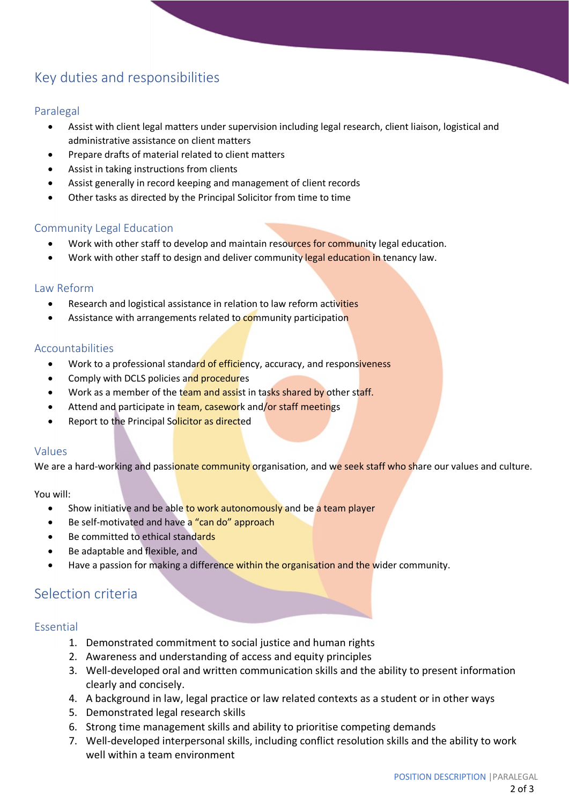# Key duties and responsibilities

#### Paralegal

- Assist with client legal matters under supervision including legal research, client liaison, logistical and administrative assistance on client matters
- Prepare drafts of material related to client matters
- Assist in taking instructions from clients
- Assist generally in record keeping and management of client records
- Other tasks as directed by the Principal Solicitor from time to time

#### Community Legal Education

- Work with other staff to develop and maintain resources for community legal education.
- Work with other staff to design and deliver community legal education in tenancy law.

#### Law Reform

- Research and logistical assistance in relation to law reform activities
- Assistance with arrangements related to community participation

#### Accountabilities

- Work to a professional standard of efficiency, accuracy, and responsiveness
- Comply with DCLS policies and procedures
- Work as a member of the team and assist in tasks shared by other staff.
- Attend and participate in team, casework and/or staff meetings
- Report to the Principal Solicitor as directed

#### Values

We are a hard-working and passionate community organisation, and we seek staff who share our values and culture.

You will:

- Show initiative and be able to work autonomously and be a team player
- Be self-motivated and have a "can do" approach
- Be committed to ethical standards
- Be adaptable and flexible, and
- Have a passion for making a difference within the organisation and the wider community.

### Selection criteria

#### Essential

- 1. Demonstrated commitment to social justice and human rights
- 2. Awareness and understanding of access and equity principles
- 3. Well-developed oral and written communication skills and the ability to present information clearly and concisely.
- 4. A background in law, legal practice or law related contexts as a student or in other ways
- 5. Demonstrated legal research skills
- 6. Strong time management skills and ability to prioritise competing demands
- 7. Well-developed interpersonal skills, including conflict resolution skills and the ability to work well within a team environment